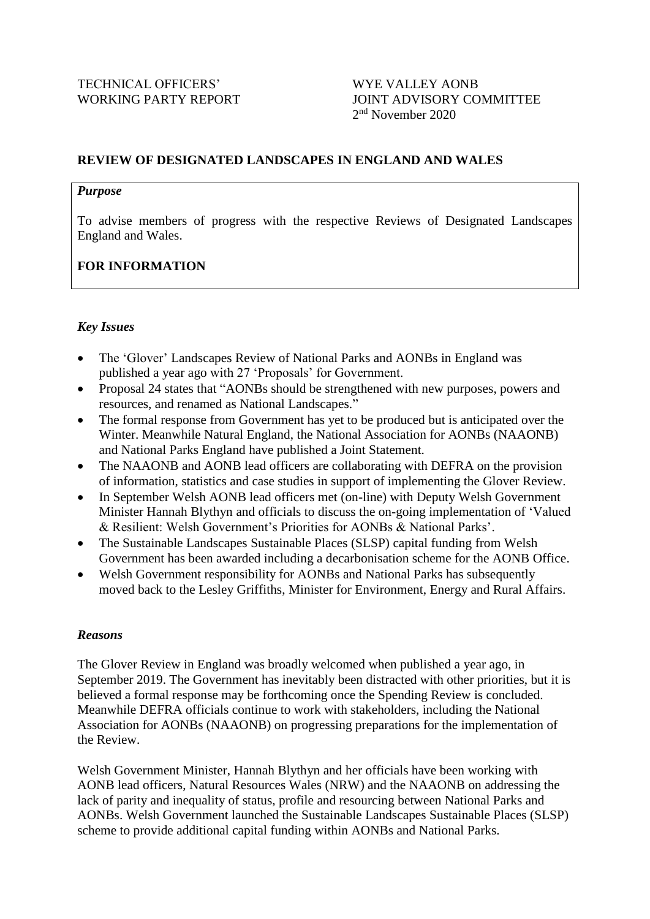# WORKING PARTY REPORT JOINT ADVISORY COMMITTEE 2<sup>nd</sup> November 2020

## **REVIEW OF DESIGNATED LANDSCAPES IN ENGLAND AND WALES**

#### *Purpose*

To advise members of progress with the respective Reviews of Designated Landscapes England and Wales.

# **FOR INFORMATION**

## *Key Issues*

- The 'Glover' Landscapes Review of National Parks and AONBs in England was published a year ago with 27 'Proposals' for Government.
- Proposal 24 states that "AONBs should be strengthened with new purposes, powers and resources, and renamed as National Landscapes."
- The formal response from Government has yet to be produced but is anticipated over the Winter. Meanwhile Natural England, the National Association for AONBs (NAAONB) and National Parks England have published a Joint Statement.
- The NAAONB and AONB lead officers are collaborating with DEFRA on the provision of information, statistics and case studies in support of implementing the Glover Review.
- In September Welsh AONB lead officers met (on-line) with Deputy Welsh Government Minister Hannah Blythyn and officials to discuss the on-going implementation of 'Valued & Resilient: Welsh Government's Priorities for AONBs & National Parks'.
- The Sustainable Landscapes Sustainable Places (SLSP) capital funding from Welsh Government has been awarded including a decarbonisation scheme for the AONB Office.
- Welsh Government responsibility for AONBs and National Parks has subsequently moved back to the Lesley Griffiths, Minister for Environment, Energy and Rural Affairs.

#### *Reasons*

The Glover Review in England was broadly welcomed when published a year ago, in September 2019. The Government has inevitably been distracted with other priorities, but it is believed a formal response may be forthcoming once the Spending Review is concluded. Meanwhile DEFRA officials continue to work with stakeholders, including the National Association for AONBs (NAAONB) on progressing preparations for the implementation of the Review.

Welsh Government Minister, Hannah Blythyn and her officials have been working with AONB lead officers, Natural Resources Wales (NRW) and the NAAONB on addressing the lack of parity and inequality of status, profile and resourcing between National Parks and AONBs. Welsh Government launched the Sustainable Landscapes Sustainable Places (SLSP) scheme to provide additional capital funding within AONBs and National Parks.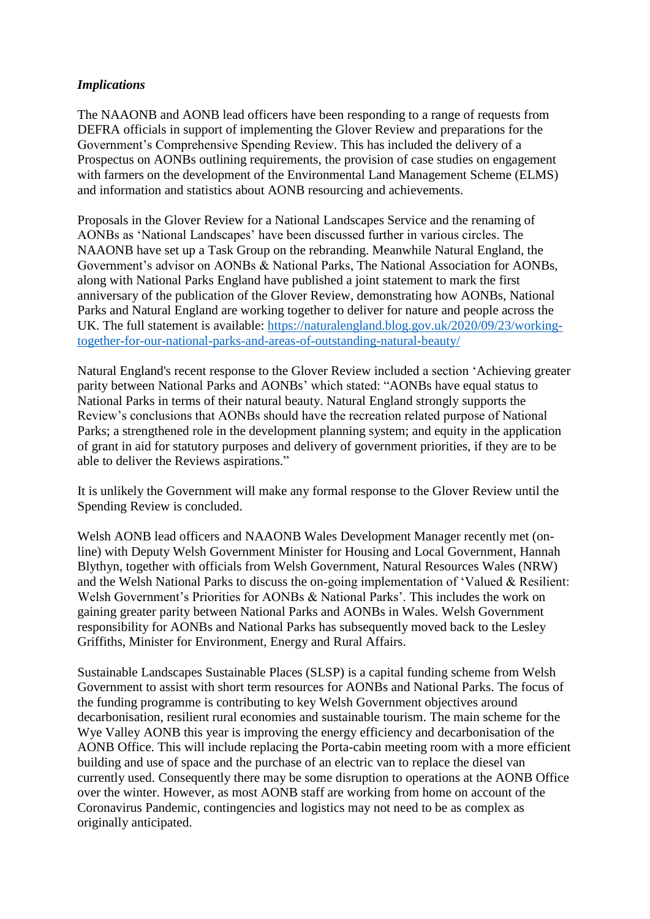#### *Implications*

The NAAONB and AONB lead officers have been responding to a range of requests from DEFRA officials in support of implementing the Glover Review and preparations for the Government's Comprehensive Spending Review. This has included the delivery of a Prospectus on AONBs outlining requirements, the provision of case studies on engagement with farmers on the development of the Environmental Land Management Scheme (ELMS) and information and statistics about AONB resourcing and achievements.

Proposals in the Glover Review for a National Landscapes Service and the renaming of AONBs as 'National Landscapes' have been discussed further in various circles. The NAAONB have set up a Task Group on the rebranding. Meanwhile Natural England, the Government's advisor on AONBs & National Parks, The National Association for AONBs, along with National Parks England have published a joint statement to mark the first anniversary of the publication of the Glover Review, demonstrating how AONBs, National Parks and Natural England are working together to deliver for nature and people across the UK. The full statement is available: [https://naturalengland.blog.gov.uk/2020/09/23/working](https://naturalengland.blog.gov.uk/2020/09/23/working-together-for-our-national-parks-and-areas-of-outstanding-natural-beauty/)[together-for-our-national-parks-and-areas-of-outstanding-natural-beauty/](https://naturalengland.blog.gov.uk/2020/09/23/working-together-for-our-national-parks-and-areas-of-outstanding-natural-beauty/)

Natural England's recent response to the Glover Review included a section 'Achieving greater parity between National Parks and AONBs' which stated: "AONBs have equal status to National Parks in terms of their natural beauty. Natural England strongly supports the Review's conclusions that AONBs should have the recreation related purpose of National Parks; a strengthened role in the development planning system; and equity in the application of grant in aid for statutory purposes and delivery of government priorities, if they are to be able to deliver the Reviews aspirations."

It is unlikely the Government will make any formal response to the Glover Review until the Spending Review is concluded.

Welsh AONB lead officers and NAAONB Wales Development Manager recently met (online) with Deputy Welsh Government Minister for Housing and Local Government, Hannah Blythyn, together with officials from Welsh Government, Natural Resources Wales (NRW) and the Welsh National Parks to discuss the on-going implementation of 'Valued & Resilient: Welsh Government's Priorities for AONBs & National Parks'. This includes the work on gaining greater parity between National Parks and AONBs in Wales. Welsh Government responsibility for AONBs and National Parks has subsequently moved back to the Lesley Griffiths, Minister for Environment, Energy and Rural Affairs.

Sustainable Landscapes Sustainable Places (SLSP) is a capital funding scheme from Welsh Government to assist with short term resources for AONBs and National Parks. The focus of the funding programme is contributing to key Welsh Government objectives around decarbonisation, resilient rural economies and sustainable tourism. The main scheme for the Wye Valley AONB this year is improving the energy efficiency and decarbonisation of the AONB Office. This will include replacing the Porta-cabin meeting room with a more efficient building and use of space and the purchase of an electric van to replace the diesel van currently used. Consequently there may be some disruption to operations at the AONB Office over the winter. However, as most AONB staff are working from home on account of the Coronavirus Pandemic, contingencies and logistics may not need to be as complex as originally anticipated.